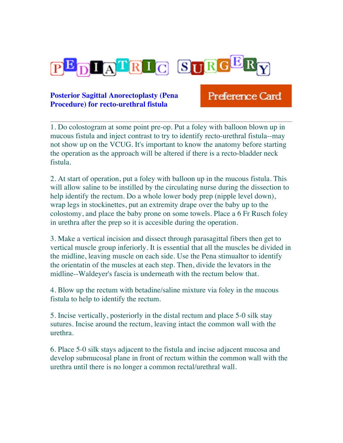

## **Posterior Sagittal Anorectoplasty (Pena Procedure) for recto-urethral fistula**

## **Preference Card**

1. Do colostogram at some point pre-op. Put a foley with balloon blown up in mucous fistula and inject contrast to try to identify recto-urethral fistula--may not show up on the VCUG. It's important to know the anatomy before starting the operation as the approach will be altered if there is a recto-bladder neck fistula.

2. At start of operation, put a foley with balloon up in the mucous fistula. This will allow saline to be instilled by the circulating nurse during the dissection to help identify the rectum. Do a whole lower body prep (nipple level down), wrap legs in stockinettes, put an extremity drape over the baby up to the colostomy, and place the baby prone on some towels. Place a 6 Fr Rusch foley in urethra after the prep so it is accesible during the operation.

3. Make a vertical incision and dissect through parasagittal fibers then get to vertical muscle group inferiorly. It is essential that all the muscles be divided in the midline, leaving muscle on each side. Use the Pena stimualtor to identify the orientatin of the muscles at each step. Then, divide the levators in the midline--Waldeyer's fascia is underneath with the rectum below that.

4. Blow up the rectum with betadine/saline mixture via foley in the mucous fistula to help to identify the rectum.

5. Incise vertically, posteriorly in the distal rectum and place 5-0 silk stay sutures. Incise around the rectum, leaving intact the common wall with the urethra.

6. Place 5-0 silk stays adjacent to the fistula and incise adjacent mucosa and develop submucosal plane in front of rectum within the common wall with the urethra until there is no longer a common rectal/urethral wall.